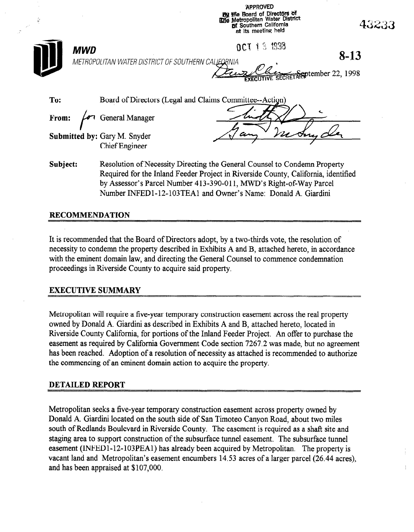APPROVED by the Board of Directors of **ithe Metropolitan Water District pf Southern California** at its meeting held

 $\mathcal{P}^{\mathcal{C}}$ 

 $MWD$  6 and 6  $0$  cm  $1$  3  $1933$ METROPOLITAN WATERDISTRICTOFSOUTHERN 8-13

eptember 22, 1998

| To: | Board of Directors (Legal and Claims Committee--Action)      |  |
|-----|--------------------------------------------------------------|--|
|     | From: $\sqrt{\sigma}$ General Manager                        |  |
|     | <b>Submitted by: Gary M. Snyder</b><br><b>Chief Engineer</b> |  |

Subject: Resolution of Necessity Directing the General Counsel to Condemn Property Required for the Inland Feeder Project in Riverside County, California, identified by Assessor's Parcel Number 413-390-011, MWD's Right-of-Way Parcel Number INFED1-12-103TEA1 and Owner's Name: Donald A. Giardini

# RECOMMENDATION

It is recommended that the Board of Directors adopt, by a two-thirds vote, the resolution of necessity to condemn the property described in Exhibits A and B, attached hereto, in accordance with the eminent domain law, and directing the General Counsel to commence condemnation proceedings in Riverside County to acquire said property.

# EXECUTIVE SUMMARY

 $\mathcal{L}_{\mathcal{F}}$  requires a five-year temporary construction easement across the real property across the real property of  $\mathcal{F}$ ovieti opontant will require a live-year temporary construction easement actoss the real prop owned by Donald A. Giardini as described in Exhibits A and B, attached hereto, located in Riverside County California, for portions of the Inland Feeder Project. An offer to purchase the easement as required by California Government Code section 7267.2 was made, but no agreement has been reached. Adoption of a resolution of necessity as attached is recommended to authorize the commencing of an eminent domain action to acquire the property.

Metropolitan seeks a five-year temporary construction easement across property owned by Donald A. Giardini located on the south side of San Timoteo Canyon Road, about two miles south of Redlands Boulevard in Riverside County. The easement is required as a shaft site and staging area to support construction of the subsurface tunnel easement. The subsurface tunnel easement (INFED1-12-103PEA1) has already been acquired by Metropolitan. The property is vacant land and Metropolitan's easement encumbers 14.53 acres of a larger parcel (26.44 acres), and has been appraised at \$107,000.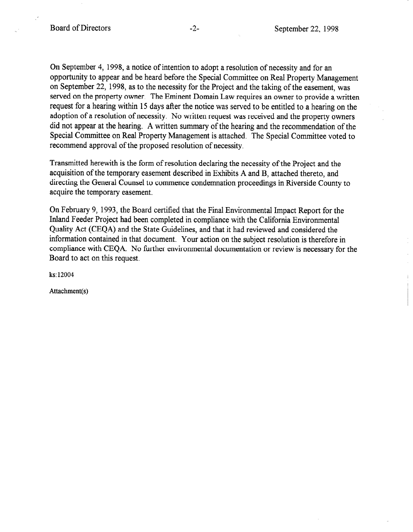On September 4, 1998, a notice of intention to adopt a resolution of necessity and for an opportunity to appear and be heard before the Special Committee on Real Property Management on September 22, 1998, as to the necessity for the Project and the taking of the easement, was served on the property owner. The Eminent Domain Law requires an owner to provide a written request for a hearing within 15 days after the notice was served to be entitled to a hearing on the adoption of a resolution of necessity. No written request was received and the property owners did not appear at the hearing. A written summary of the hearing and the recommendation of the Special Committee on Real Property Management is attached. The Special Committee voted to recommend approval of the proposed resolution of necessity.

Transmitted herewith is the form of resolution declaring the necessity of the Project and the acquisition of the temporary easement described in Exhibits A and B, attached thereto, and directing the General Counsel to commence condemnation proceedings in Riverside County to acquire the temporary easement.

On February 9, 1993, the Board certified that the Final Environmental Impact Report for the Inland Feeder Project had been completed in compliance with the California Environmental Quality Act (CEQA) and the State Guidelines, and that it had reviewed and considered the information contained in that document. Your action on the subject resolution is therefore in compliance with CEQA. No further environmental documentation or review is necessary for the Board to act on this request.

ks: 12004

Attachment(s)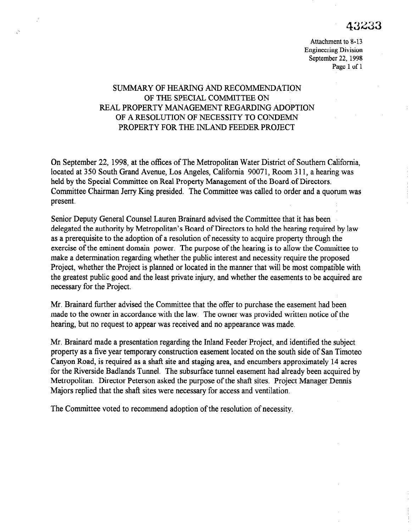# 43233

Attachment to 8-13 Engineering Division September 22, 1998 Page 1 of 1

# SUMMARY OF HEARING AND RECOMMENDATION OF THE SPECIAL COMMITTEE ON REAL PROPERTY MANAGEMENT REGARDING ADOPTION OF A RESOLUTION OF NECESSITY TO CONDEMN PROPERTY FOR THE INLAND FEEDER PROJECT

On September 22, 1998, at the offices of The Metropolitan Water District of Southern California, located at 350 South Grand Avenue, Los Angeles, California 90071, Room 3 11, a hearing was held by the Special Committee on Real Property Management of the Board of Directors. Committee Chairman Jerry Ring presided. The Committee was called to order and a quorum was present.

Senior Deputy General Counsel Lauren Brainard advised the Committee that it has been delegated the authority by Metropolitan's Board of Directors to hold the hearing required by law as a prerequisite to the adoption of a resolution of necessity to acquire property through the exercise of the eminent domain power. The purpose of the hearing is to allow the Committee to make a determination regarding whether the public interest and necessity require the proposed Project, whether the Project is planned or located in the manner that will be most compatible with the greatest public greatest planned of located in the manner that will be most compatible while necessary for the Project.

Mr. Brainard further advised the Committee that the offer to purchase the easement had been made to the owner in accordance with the owner was provided with the case of the owner. made to the owner in accordance with the law. The owner was provided written notice of the hearing, but no request to appear was received and no appearance was made.

Mr. Brainard made a presentation regarding the Inland Feeder Project, and identified the subject  $\rho$  property as a final property and temporary construction easement  $\rho$  and  $\rho$  and  $\rho$  and  $\rho$   $\sigma$   $\sim$ property as a five year temporary construction easement located on the south side of San Timoteo Canyon Road, is required as a shaft site and staging area, and encumbers approximately 14 acres for the Riverside Badlands Tunnel. The subsurface tunnel easement had already been acquired by Metropolitan. Director Peterson asked the purpose of the shaft sites. Project Manager Dennis Majors replied that the shaft sites were necessary for access and ventilation.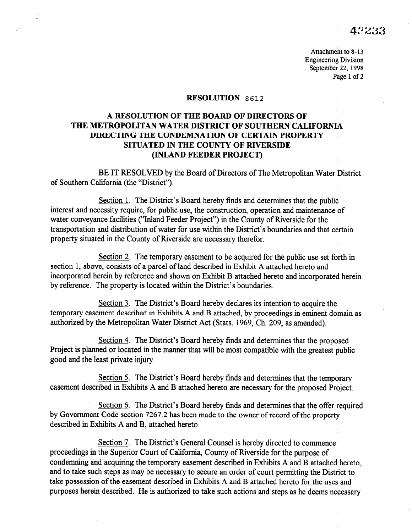# 43233

Attachment to 8-13 Engineering Division September 22, 1998 Page 1 of 2

### **RESOLUTION** 8612

# A RESOLUTION OF THE BOARD OF DIRECTORS OF THE METROPOLITAN WATER DISTRICT OF SOUTHERN CALIFORNIA DIRECTING THE CONDEMNATION OF CERTAIN PROPERTY SITUATED IN THE COUNTY OF RIVERSIDE (INLAND FEEDER PROJECT)

BE IT RESOLVED by the Board of Directors of The Metropolitan Water District of Southern California (the "District").

Section 1. The District's Board hereby finds and determines that the public interest and necessity require, for public use, the construction, operation and maintenance of water conveyance facilities ("Inland Feeder Project") in the County of Riverside for the transportation and distribution of water for use within the District's boundaries and that certain property situated in the County of Riverside are necessary therefor.

Section 2. The temporary easement to be acquired for the public use set forth in section 1, above, consists of a parcel of land described in Exhibit A attached hereto and incorporated herein by reference and shown on Exhibit B attached hereto and incorporated herein by reference. The property is located within the District's boundaries.

Section 3. The District's Board hereby declares its intention to acquire the temporary easement described in Exhibits A and B attached, by proceedings in eminent domain as authorized by the Metropolitan Water District Act (Stats. 1969, Ch. 209, as amended).

Section 4. The District's Board hereby finds and determines that the proposed Project is planned or located in the manner that will be most compatible with the greatest public good and the least private injury.

Section 5. The District's Board hereby finds and determines that the temporary easement described in Exhibits A and B attached hereto are necessary for the proposed Project.

Section 6. The District's Board hereby finds and determines that the offer required by Government Code section 7267.2 has been made to the owner of record of the property described in Exhibits A and B, attached hereto.

Section 7. The District's General Counsel is hereby directed to commence proceedings in the Superior Court of California, County of Riverside for the purpose of condemning and acquiring the temporary easement described in Exhibits A and B attached hereto, and to take such steps as may be necessary to secure an order of court permitting the District to take possession of the easement described in Exhibits A and B attached hereto for the uses and purposes herein described. He is authorized to take such actions and steps as he deems necessary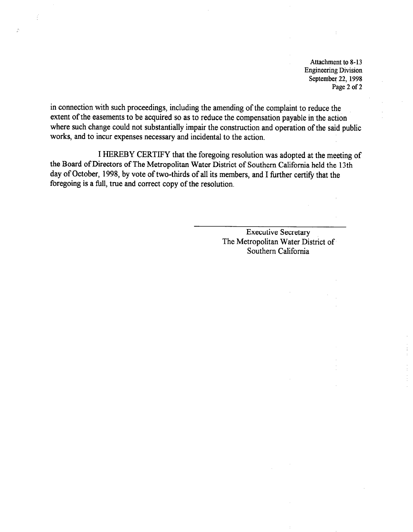Attachment to 8-13 Engineering Division September 22, 1998 Page 2 of 2

in connection with such proceedings, including the amending of the complaint to reduce the extent of the easements to be acquired so as to reduce the compensation payable in the action where such change could not substantially impair the construction and operation of the said public works, and to incur expenses necessary and incidental to the action.

I HEREBY CERTIFY that the foregoing resolution was adopted at the meeting of the Board of Directors of The Metropolitan Water District of Southern California held the 13th day of October, 1998, by vote of two-thirds of all its members, and I further certify that the foregoing is a full, true and correct copy of the resolution.

> Executive Secretary The Metropolitan Water District of Southern California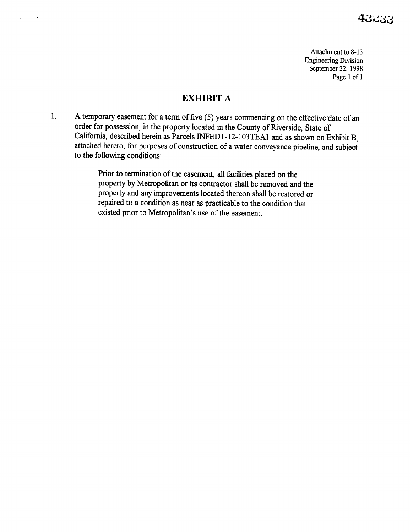Attachment to 8-13 Engineering Division September 22, 1998 Page 1 of 1

## EXHIBIT A

1. A temporary easement for a term of five (5) years commencing on the effective date of an order for possession, in the property located in the County of Riverside, State of California, described herein as Parcels INFEDl-12-103TEAl and as shown on Exhibit B, attached hereto, for purposes of construction of a water conveyance pipeline, and subject to the following conditions:

> Prior to termination of the easement, all facilities placed on the property by Metropolitan or its contractor shall be removed and the property and any improvements located thereon shall be restored or repaired to a condition as near as practicable to the condition that existed prior to Metropolitan's use of the easement.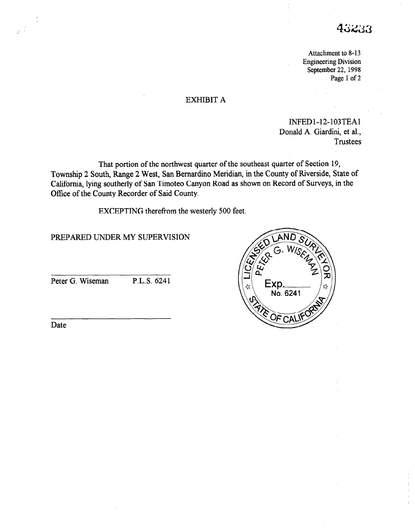# 43233

Attachment to 8-13 Engineering Division September 22, 1998 Page 1 of 2

## EXHIBIT A

INFEDl-12-103TEAl Donald A. Giardini, et al., **Trustees** 

That portion of the northwest quarter of the southeast quarter of Section 19, Township 2 South, Range 2 West, San Bernardino Meridian in the County of Riverside, State of California, lying southerly of San Timoteo Canyon Road as shown on Record of Surveys, in the Office of the County Recorder of Said County.

EXCEPTING therefrom the westerly 500 feet.

PREPARED UNDER MY SUPERVISION

Peter G. Wiseman P.L.S. 6241



Date